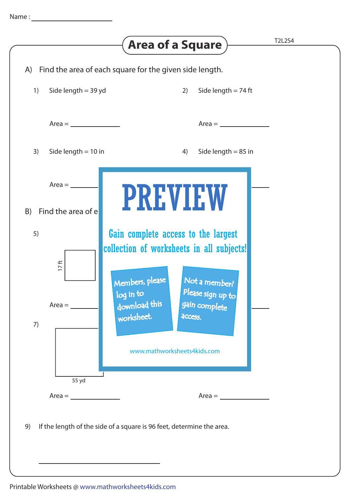